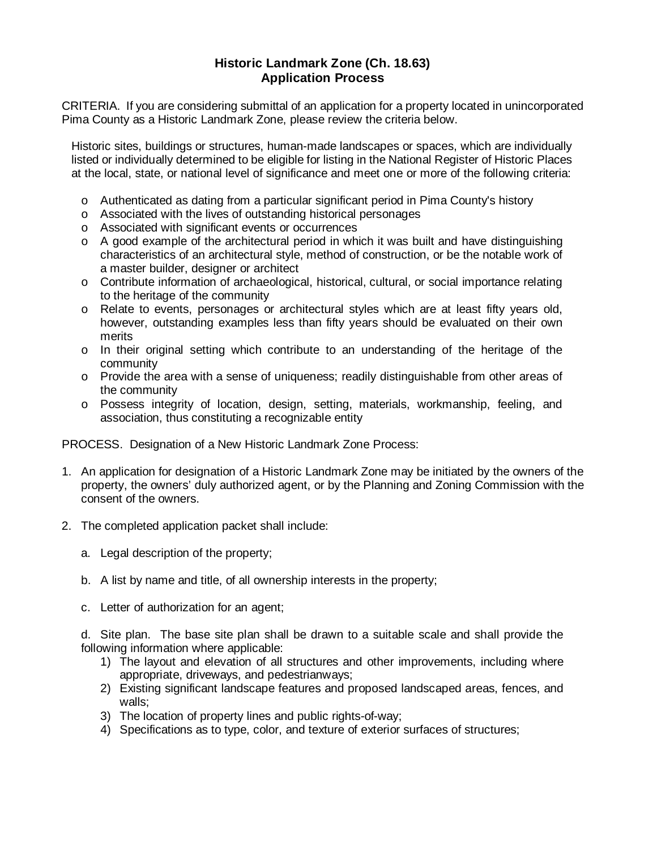## **Historic Landmark Zone (Ch. 18.63) Application Process**

CRITERIA. If you are considering submittal of an application for a property located in unincorporated Pima County as a Historic Landmark Zone, please review the criteria below.

Historic sites, buildings or structures, human-made landscapes or spaces, which are individually listed or individually determined to be eligible for listing in the National Register of Historic Places at the local, state, or national level of significance and meet one or more of the following criteria:

- o Authenticated as dating from a particular significant period in Pima County's history
- o Associated with the lives of outstanding historical personages
- o Associated with significant events or occurrences
- o A good example of the architectural period in which it was built and have distinguishing characteristics of an architectural style, method of construction, or be the notable work of a master builder, designer or architect
- o Contribute information of archaeological, historical, cultural, or social importance relating to the heritage of the community
- o Relate to events, personages or architectural styles which are at least fifty years old, however, outstanding examples less than fifty years should be evaluated on their own merits
- o In their original setting which contribute to an understanding of the heritage of the community
- o Provide the area with a sense of uniqueness; readily distinguishable from other areas of the community
- o Possess integrity of location, design, setting, materials, workmanship, feeling, and association, thus constituting a recognizable entity

PROCESS. Designation of a New Historic Landmark Zone Process:

- 1. An application for designation of a Historic Landmark Zone may be initiated by the owners of the property, the owners' duly authorized agent, or by the Planning and Zoning Commission with the consent of the owners.
- 2. The completed application packet shall include:
	- a. Legal description of the property;
	- b. A list by name and title, of all ownership interests in the property;
	- c. Letter of authorization for an agent;

d. Site plan. The base site plan shall be drawn to a suitable scale and shall provide the following information where applicable:

- 1) The layout and elevation of all structures and other improvements, including where appropriate, driveways, and pedestrianways;
- 2) Existing significant landscape features and proposed landscaped areas, fences, and walls;
- 3) The location of property lines and public rights-of-way;
- 4) Specifications as to type, color, and texture of exterior surfaces of structures;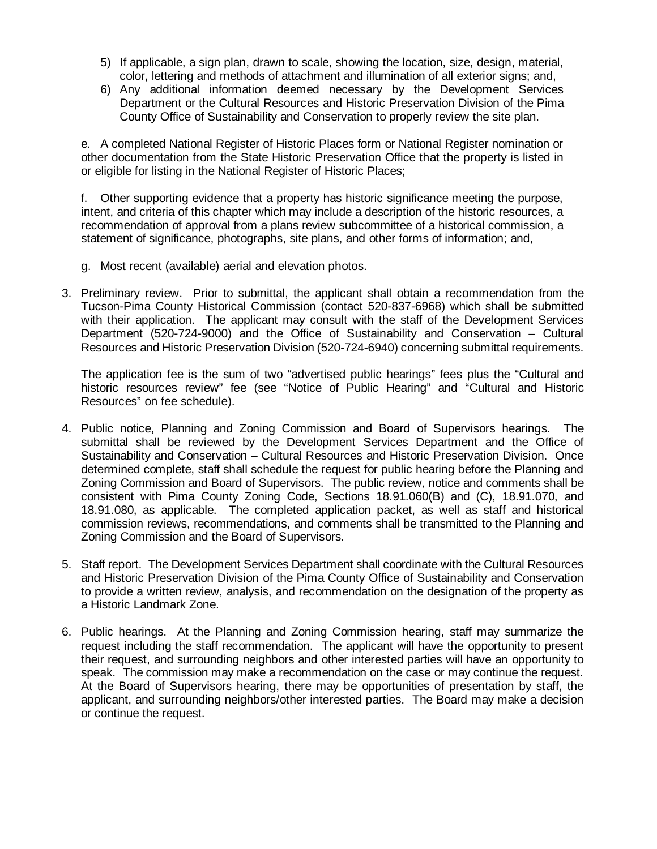- 5) If applicable, a sign plan, drawn to scale, showing the location, size, design, material, color, lettering and methods of attachment and illumination of all exterior signs; and,
- 6) Any additional information deemed necessary by the Development Services Department or the Cultural Resources and Historic Preservation Division of the Pima County Office of Sustainability and Conservation to properly review the site plan.

e. A completed National Register of Historic Places form or National Register nomination or other documentation from the State Historic Preservation Office that the property is listed in or eligible for listing in the National Register of Historic Places;

f. Other supporting evidence that a property has historic significance meeting the purpose, intent, and criteria of this chapter which may include a description of the historic resources, a recommendation of approval from a plans review subcommittee of a historical commission, a statement of significance, photographs, site plans, and other forms of information; and,

- g. Most recent (available) aerial and elevation photos.
- 3. Preliminary review. Prior to submittal, the applicant shall obtain a recommendation from the Tucson-Pima County Historical Commission (contact 520-837-6968) which shall be submitted with their application. The applicant may consult with the staff of the Development Services Department (520-724-9000) and the Office of Sustainability and Conservation – Cultural Resources and Historic Preservation Division (520-724-6940) concerning submittal requirements.

The application fee is the sum of two "advertised public hearings" fees plus the "Cultural and historic resources review" fee (see "Notice of Public Hearing" and "Cultural and Historic Resources" on fee schedule).

- 4. Public notice, Planning and Zoning Commission and Board of Supervisors hearings. The submittal shall be reviewed by the Development Services Department and the Office of Sustainability and Conservation – Cultural Resources and Historic Preservation Division. Once determined complete, staff shall schedule the request for public hearing before the Planning and Zoning Commission and Board of Supervisors. The public review, notice and comments shall be consistent with Pima County Zoning Code, Sections 18.91.060(B) and (C), 18.91.070, and 18.91.080, as applicable. The completed application packet, as well as staff and historical commission reviews, recommendations, and comments shall be transmitted to the Planning and Zoning Commission and the Board of Supervisors.
- 5. Staff report. The Development Services Department shall coordinate with the Cultural Resources and Historic Preservation Division of the Pima County Office of Sustainability and Conservation to provide a written review, analysis, and recommendation on the designation of the property as a Historic Landmark Zone.
- 6. Public hearings. At the Planning and Zoning Commission hearing, staff may summarize the request including the staff recommendation. The applicant will have the opportunity to present their request, and surrounding neighbors and other interested parties will have an opportunity to speak. The commission may make a recommendation on the case or may continue the request. At the Board of Supervisors hearing, there may be opportunities of presentation by staff, the applicant, and surrounding neighbors/other interested parties. The Board may make a decision or continue the request.